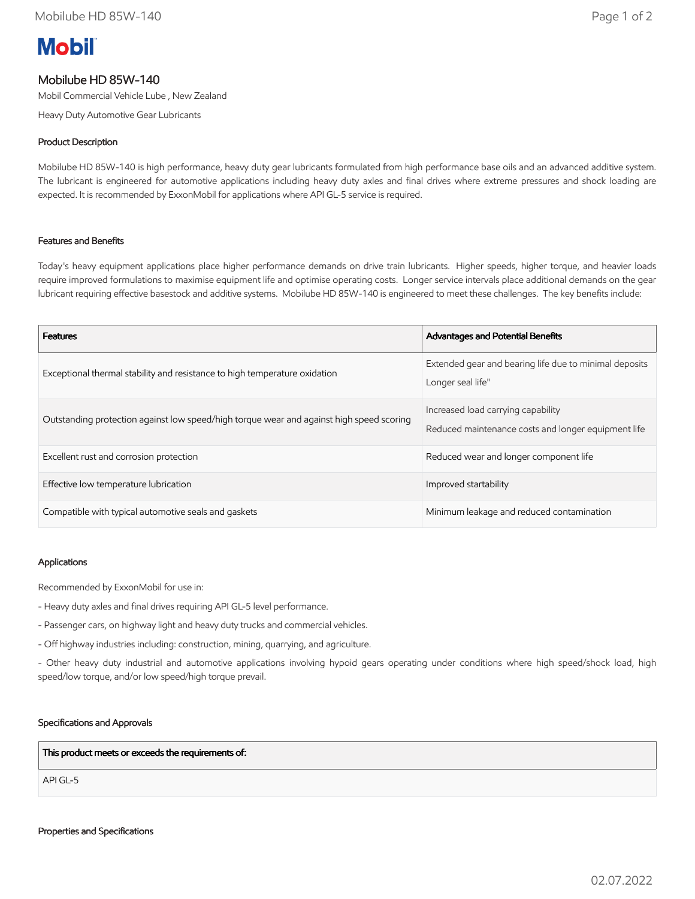# **Mobil**

## Mobilube HD 85W-140

Mobil Commercial Vehicle Lube , New Zealand

Heavy Duty Automotive Gear Lubricants

### Product Description

Mobilube HD 85W-140 is high performance, heavy duty gear lubricants formulated from high performance base oils and an advanced additive system. The lubricant is engineered for automotive applications including heavy duty axles and final drives where extreme pressures and shock loading are expected. It is recommended by ExxonMobil for applications where API GL-5 service is required.

#### Features and Benefits

Today's heavy equipment applications place higher performance demands on drive train lubricants. Higher speeds, higher torque, and heavier loads require improved formulations to maximise equipment life and optimise operating costs. Longer service intervals place additional demands on the gear lubricant requiring effective basestock and additive systems. Mobilube HD 85W-140 is engineered to meet these challenges. The key benefits include:

| <b>Features</b>                                                                          | <b>Advantages and Potential Benefits</b>                                                  |
|------------------------------------------------------------------------------------------|-------------------------------------------------------------------------------------------|
| Exceptional thermal stability and resistance to high temperature oxidation               | Extended gear and bearing life due to minimal deposits<br>Longer seal life"               |
| Outstanding protection against low speed/high torque wear and against high speed scoring | Increased load carrying capability<br>Reduced maintenance costs and longer equipment life |
| Excellent rust and corrosion protection                                                  | Reduced wear and longer component life                                                    |
| Effective low temperature lubrication                                                    | Improved startability                                                                     |
| Compatible with typical automotive seals and gaskets                                     | Minimum leakage and reduced contamination                                                 |

#### Applications

Recommended by ExxonMobil for use in:

- Heavy duty axles and final drives requiring API GL-5 level performance.
- Passenger cars, on highway light and heavy duty trucks and commercial vehicles.
- Off highway industries including: construction, mining, quarrying, and agriculture.

- Other heavy duty industrial and automotive applications involving hypoid gears operating under conditions where high speed/shock load, high speed/low torque, and/or low speed/high torque prevail.

#### Specifications and Approvals

This product meets or exceeds the requirements of:

API GL-5